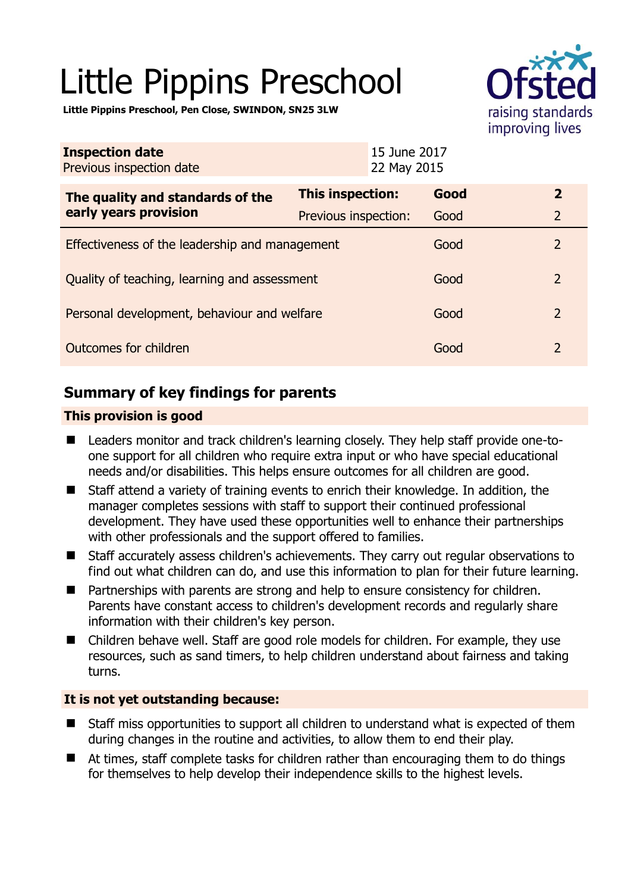# Little Pippins Preschool



**Little Pippins Preschool, Pen Close, SWINDON, SN25 3LW** 

| <b>Inspection date</b><br>Previous inspection date        | 15 June 2017<br>22 May 2015 |      |                          |
|-----------------------------------------------------------|-----------------------------|------|--------------------------|
| The quality and standards of the<br>early years provision | <b>This inspection:</b>     | Good | $\mathbf{2}$             |
|                                                           | Previous inspection:        | Good | $\overline{2}$           |
| Effectiveness of the leadership and management            |                             | Good | $\mathcal{P}$            |
| Quality of teaching, learning and assessment              |                             | Good | $\overline{2}$           |
| Personal development, behaviour and welfare               |                             | Good | $\overline{\phantom{0}}$ |
| Outcomes for children                                     |                             | Good | $\overline{2}$           |

# **Summary of key findings for parents**

## **This provision is good**

- Leaders monitor and track children's learning closely. They help staff provide one-toone support for all children who require extra input or who have special educational needs and/or disabilities. This helps ensure outcomes for all children are good.
- Staff attend a variety of training events to enrich their knowledge. In addition, the manager completes sessions with staff to support their continued professional development. They have used these opportunities well to enhance their partnerships with other professionals and the support offered to families.
- Staff accurately assess children's achievements. They carry out regular observations to find out what children can do, and use this information to plan for their future learning.
- Partnerships with parents are strong and help to ensure consistency for children. Parents have constant access to children's development records and regularly share information with their children's key person.
- Children behave well. Staff are good role models for children. For example, they use resources, such as sand timers, to help children understand about fairness and taking turns.

## **It is not yet outstanding because:**

- Staff miss opportunities to support all children to understand what is expected of them during changes in the routine and activities, to allow them to end their play.
- At times, staff complete tasks for children rather than encouraging them to do things for themselves to help develop their independence skills to the highest levels.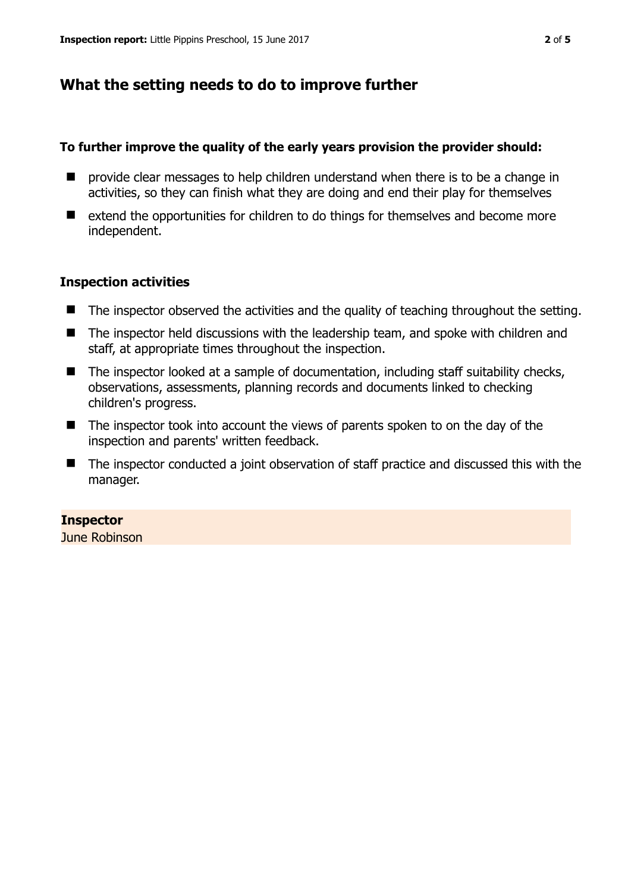# **What the setting needs to do to improve further**

### **To further improve the quality of the early years provision the provider should:**

- **P** provide clear messages to help children understand when there is to be a change in activities, so they can finish what they are doing and end their play for themselves
- extend the opportunities for children to do things for themselves and become more independent.

### **Inspection activities**

- The inspector observed the activities and the quality of teaching throughout the setting.
- The inspector held discussions with the leadership team, and spoke with children and staff, at appropriate times throughout the inspection.
- The inspector looked at a sample of documentation, including staff suitability checks, observations, assessments, planning records and documents linked to checking children's progress.
- The inspector took into account the views of parents spoken to on the day of the inspection and parents' written feedback.
- The inspector conducted a joint observation of staff practice and discussed this with the manager.

## **Inspector**

June Robinson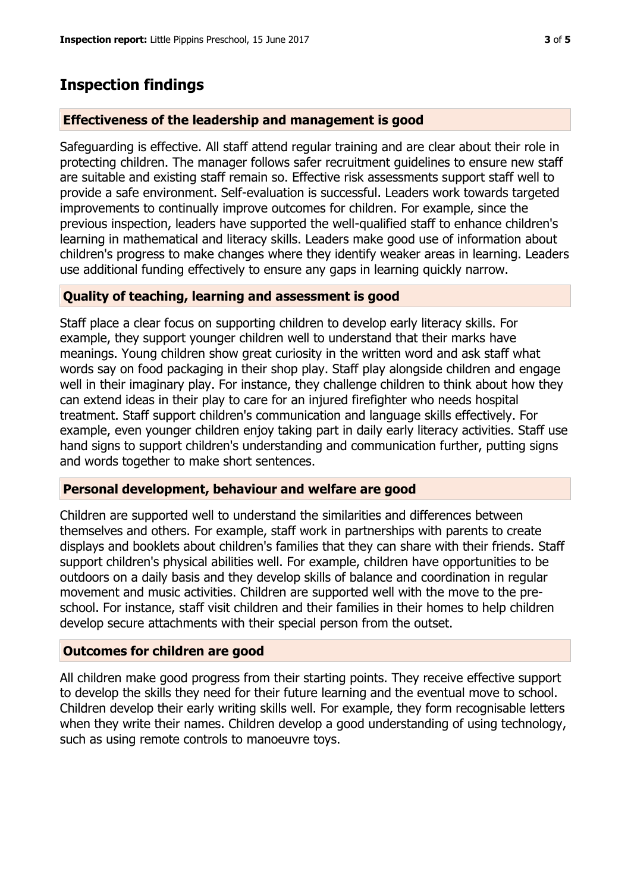## **Inspection findings**

#### **Effectiveness of the leadership and management is good**

Safeguarding is effective. All staff attend regular training and are clear about their role in protecting children. The manager follows safer recruitment guidelines to ensure new staff are suitable and existing staff remain so. Effective risk assessments support staff well to provide a safe environment. Self-evaluation is successful. Leaders work towards targeted improvements to continually improve outcomes for children. For example, since the previous inspection, leaders have supported the well-qualified staff to enhance children's learning in mathematical and literacy skills. Leaders make good use of information about children's progress to make changes where they identify weaker areas in learning. Leaders use additional funding effectively to ensure any gaps in learning quickly narrow.

#### **Quality of teaching, learning and assessment is good**

Staff place a clear focus on supporting children to develop early literacy skills. For example, they support younger children well to understand that their marks have meanings. Young children show great curiosity in the written word and ask staff what words say on food packaging in their shop play. Staff play alongside children and engage well in their imaginary play. For instance, they challenge children to think about how they can extend ideas in their play to care for an injured firefighter who needs hospital treatment. Staff support children's communication and language skills effectively. For example, even younger children enjoy taking part in daily early literacy activities. Staff use hand signs to support children's understanding and communication further, putting signs and words together to make short sentences.

#### **Personal development, behaviour and welfare are good**

Children are supported well to understand the similarities and differences between themselves and others. For example, staff work in partnerships with parents to create displays and booklets about children's families that they can share with their friends. Staff support children's physical abilities well. For example, children have opportunities to be outdoors on a daily basis and they develop skills of balance and coordination in regular movement and music activities. Children are supported well with the move to the preschool. For instance, staff visit children and their families in their homes to help children develop secure attachments with their special person from the outset.

#### **Outcomes for children are good**

All children make good progress from their starting points. They receive effective support to develop the skills they need for their future learning and the eventual move to school. Children develop their early writing skills well. For example, they form recognisable letters when they write their names. Children develop a good understanding of using technology, such as using remote controls to manoeuvre toys.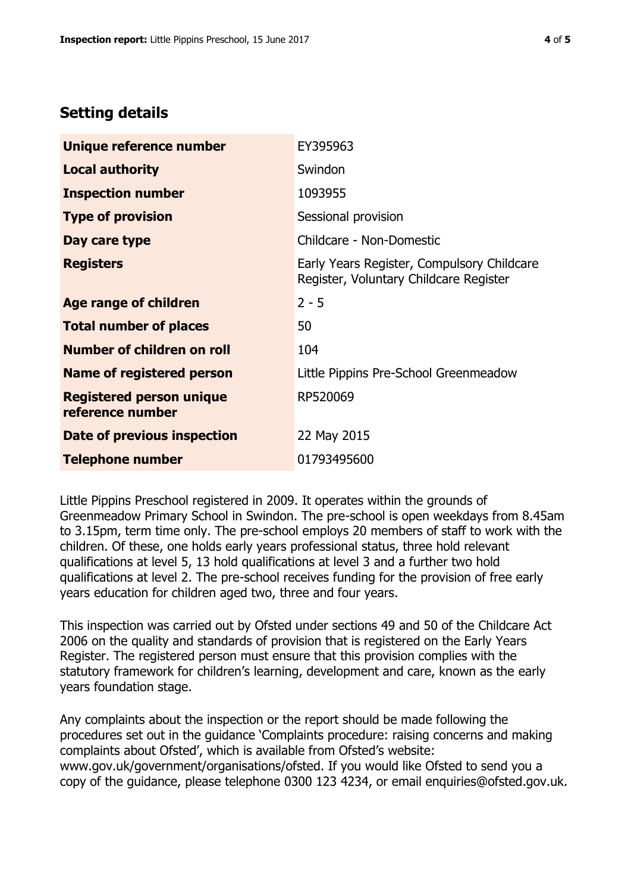# **Setting details**

| Unique reference number                             | EY395963                                                                             |  |
|-----------------------------------------------------|--------------------------------------------------------------------------------------|--|
| <b>Local authority</b>                              | Swindon                                                                              |  |
| <b>Inspection number</b>                            | 1093955                                                                              |  |
| <b>Type of provision</b>                            | Sessional provision                                                                  |  |
| Day care type                                       | Childcare - Non-Domestic                                                             |  |
| <b>Registers</b>                                    | Early Years Register, Compulsory Childcare<br>Register, Voluntary Childcare Register |  |
| Age range of children                               | $2 - 5$                                                                              |  |
| <b>Total number of places</b>                       | 50                                                                                   |  |
| Number of children on roll                          | 104                                                                                  |  |
| Name of registered person                           | Little Pippins Pre-School Greenmeadow                                                |  |
| <b>Registered person unique</b><br>reference number | RP520069                                                                             |  |
| Date of previous inspection                         | 22 May 2015                                                                          |  |
| <b>Telephone number</b>                             | 01793495600                                                                          |  |

Little Pippins Preschool registered in 2009. It operates within the grounds of Greenmeadow Primary School in Swindon. The pre-school is open weekdays from 8.45am to 3.15pm, term time only. The pre-school employs 20 members of staff to work with the children. Of these, one holds early years professional status, three hold relevant qualifications at level 5, 13 hold qualifications at level 3 and a further two hold qualifications at level 2. The pre-school receives funding for the provision of free early years education for children aged two, three and four years.

This inspection was carried out by Ofsted under sections 49 and 50 of the Childcare Act 2006 on the quality and standards of provision that is registered on the Early Years Register. The registered person must ensure that this provision complies with the statutory framework for children's learning, development and care, known as the early years foundation stage.

Any complaints about the inspection or the report should be made following the procedures set out in the guidance 'Complaints procedure: raising concerns and making complaints about Ofsted', which is available from Ofsted's website: www.gov.uk/government/organisations/ofsted. If you would like Ofsted to send you a copy of the guidance, please telephone 0300 123 4234, or email enquiries@ofsted.gov.uk.